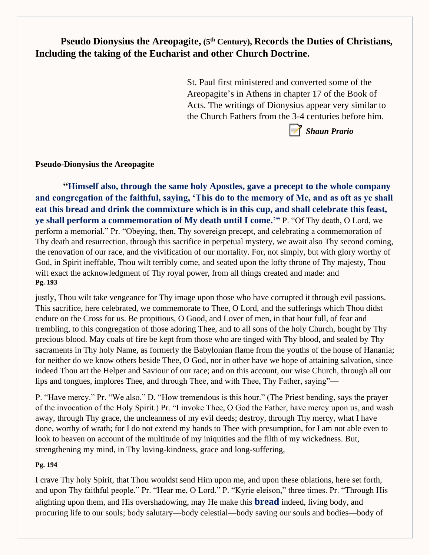**Pseudo Dionysius the Areopagite, (5th Century), Records the Duties of Christians, Including the taking of the Eucharist and other Church Doctrine.**

> St. Paul first ministered and converted some of the Areopagite's in Athens in chapter 17 of the Book of Acts. The writings of Dionysius appear very similar to the Church Fathers from the 3-4 centuries before him.



**Pseudo-Dionysius the Areopagite**

**"Himself also, through the same holy Apostles, gave a precept to the whole company and congregation of the faithful, saying, 'This do to the memory of Me, and as oft as ye shall eat this bread and drink the commixture which is in this cup, and shall celebrate this feast, ye shall perform a commemoration of My death until I come.'"** P. "Of Thy death, O Lord, we perform a memorial." Pr. "Obeying, then, Thy sovereign precept, and celebrating a commemoration of Thy death and resurrection, through this sacrifice in perpetual mystery, we await also Thy second coming, the renovation of our race, and the vivification of our mortality. For, not simply, but with glory worthy of God, in Spirit ineffable, Thou wilt terribly come, and seated upon the lofty throne of Thy majesty, Thou wilt exact the acknowledgment of Thy royal power, from all things created and made: and **Pg. 193**

justly, Thou wilt take vengeance for Thy image upon those who have corrupted it through evil passions. This sacrifice, here celebrated, we commemorate to Thee, O Lord, and the sufferings which Thou didst endure on the Cross for us. Be propitious, O Good, and Lover of men, in that hour full, of fear and trembling, to this congregation of those adoring Thee, and to all sons of the holy Church, bought by Thy precious blood. May coals of fire be kept from those who are tinged with Thy blood, and sealed by Thy sacraments in Thy holy Name, as formerly the Babylonian flame from the youths of the house of Hanania; for neither do we know others beside Thee, O God, nor in other have we hope of attaining salvation, since indeed Thou art the Helper and Saviour of our race; and on this account, our wise Church, through all our lips and tongues, implores Thee, and through Thee, and with Thee, Thy Father, saying"—

P. "Have mercy." Pr. "We also." D. "How tremendous is this hour." (The Priest bending, says the prayer of the invocation of the Holy Spirit.) Pr. "I invoke Thee, O God the Father, have mercy upon us, and wash away, through Thy grace, the uncleanness of my evil deeds; destroy, through Thy mercy, what I have done, worthy of wrath; for I do not extend my hands to Thee with presumption, for I am not able even to look to heaven on account of the multitude of my iniquities and the filth of my wickedness. But, strengthening my mind, in Thy loving-kindness, grace and long-suffering,

## **Pg. 194**

I crave Thy holy Spirit, that Thou wouldst send Him upon me, and upon these oblations, here set forth, and upon Thy faithful people." Pr. "Hear me, O Lord." P. "Kyrie eleison," three times. Pr. "Through His alighting upon them, and His overshadowing, may He make this **bread** indeed, living body, and procuring life to our souls; body salutary—body celestial—body saving our souls and bodies—body of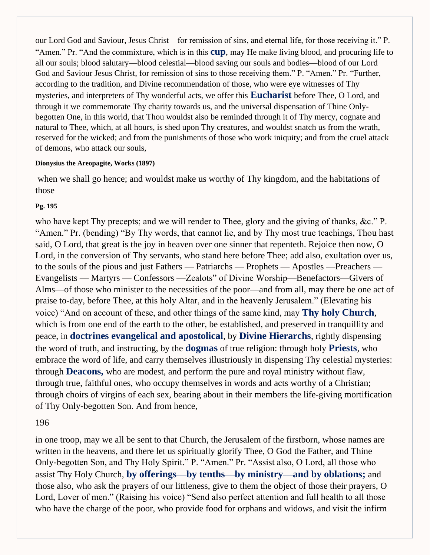our Lord God and Saviour, Jesus Christ—for remission of sins, and eternal life, for those receiving it." P. "Amen." Pr. "And the commixture, which is in this **cup**, may He make living blood, and procuring life to all our souls; blood salutary—blood celestial—blood saving our souls and bodies—blood of our Lord God and Saviour Jesus Christ, for remission of sins to those receiving them." P. "Amen." Pr. "Further, according to the tradition, and Divine recommendation of those, who were eye witnesses of Thy mysteries, and interpreters of Thy wonderful acts, we offer this **Eucharist** before Thee, O Lord, and through it we commemorate Thy charity towards us, and the universal dispensation of Thine Onlybegotten One, in this world, that Thou wouldst also be reminded through it of Thy mercy, cognate and natural to Thee, which, at all hours, is shed upon Thy creatures, and wouldst snatch us from the wrath, reserved for the wicked; and from the punishments of those who work iniquity; and from the cruel attack of demons, who attack our souls,

#### **Dionysius the Areopagite, Works (1897)**

when we shall go hence; and wouldst make us worthy of Thy kingdom, and the habitations of those

#### **Pg. 195**

who have kept Thy precepts; and we will render to Thee, glory and the giving of thanks, &c." P. "Amen." Pr. (bending) "By Thy words, that cannot lie, and by Thy most true teachings, Thou hast said, O Lord, that great is the joy in heaven over one sinner that repenteth. Rejoice then now, O Lord, in the conversion of Thy servants, who stand here before Thee; add also, exultation over us, to the souls of the pious and just Fathers — Patriarchs — Prophets — Apostles —Preachers — Evangelists — Martyrs — Confessors —Zealots" of Divine Worship—Benefactors—Givers of Alms—of those who minister to the necessities of the poor—and from all, may there be one act of praise to-day, before Thee, at this holy Altar, and in the heavenly Jerusalem." (Elevating his voice) "And on account of these, and other things of the same kind, may **Thy holy Church**, which is from one end of the earth to the other, be established, and preserved in tranquillity and peace, in **doctrines evangelical and apostolical**, by **Divine Hierarchs**, rightly dispensing the word of truth, and instructing, by the **dogmas** of true religion: through holy **Priests**, who embrace the word of life, and carry themselves illustriously in dispensing Thy celestial mysteries: through **Deacons,** who are modest, and perform the pure and royal ministry without flaw, through true, faithful ones, who occupy themselves in words and acts worthy of a Christian; through choirs of virgins of each sex, bearing about in their members the life-giving mortification of Thy Only-begotten Son. And from hence,

### 196

in one troop, may we all be sent to that Church, the Jerusalem of the firstborn, whose names are written in the heavens, and there let us spiritually glorify Thee, O God the Father, and Thine Only-begotten Son, and Thy Holy Spirit." P. "Amen." Pr. "Assist also, O Lord, all those who assist Thy Holy Church, **by offerings—by tenths—by ministry—and by oblations;** and those also, who ask the prayers of our littleness, give to them the object of those their prayers, O Lord, Lover of men." (Raising his voice) "Send also perfect attention and full health to all those who have the charge of the poor, who provide food for orphans and widows, and visit the infirm